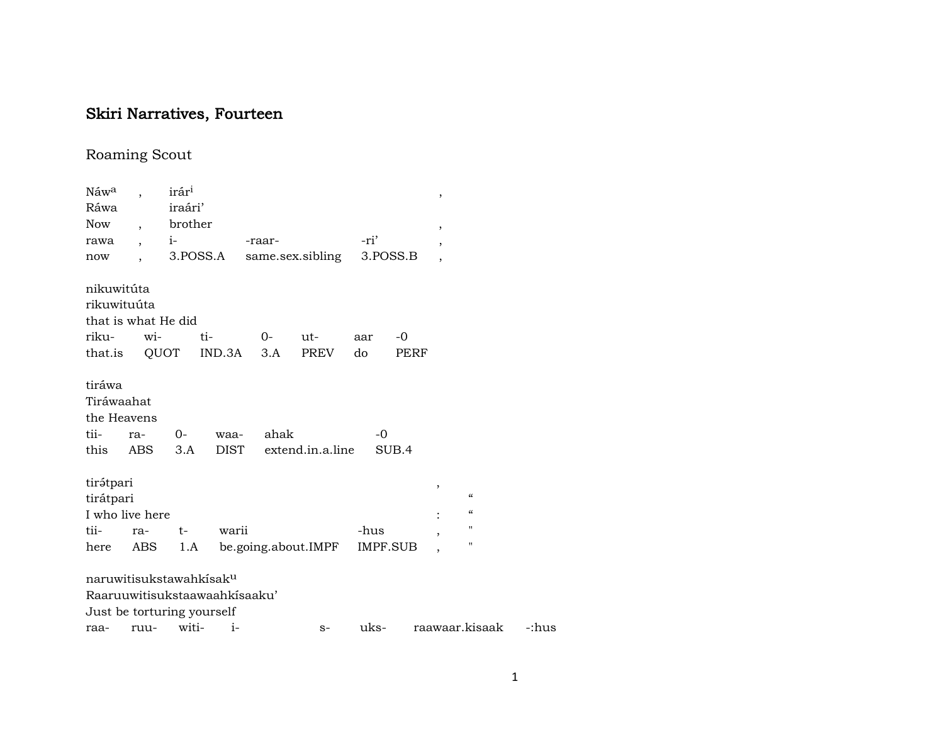## Skiri Narratives, Fourteen

## Roaming Scout

| Náw <sup>a</sup>    |                          | irár <sup>1</sup>                   |        |        |                     |          |       | ,              |                          |  |  |  |
|---------------------|--------------------------|-------------------------------------|--------|--------|---------------------|----------|-------|----------------|--------------------------|--|--|--|
| Ráwa                |                          | iraári'                             |        |        |                     |          |       |                |                          |  |  |  |
| <b>Now</b>          | $\overline{\phantom{a}}$ | brother                             |        |        |                     |          |       | ,              |                          |  |  |  |
| rawa                | $\overline{\phantom{a}}$ | $i-$                                |        | -raar- |                     | -ri'     |       | ,              |                          |  |  |  |
| now                 |                          | 3.POSS.A                            |        |        | same.sex.sibling    | 3.POSS.B |       | $\overline{ }$ |                          |  |  |  |
|                     |                          |                                     |        |        |                     |          |       |                |                          |  |  |  |
| nikuwitúta          |                          |                                     |        |        |                     |          |       |                |                          |  |  |  |
| rikuwituúta         |                          |                                     |        |        |                     |          |       |                |                          |  |  |  |
| that is what He did |                          |                                     |        |        |                     |          |       |                |                          |  |  |  |
| riku-               | wi-                      |                                     | ti-    | $0-$   | $ut-$               | aar      | $-0$  |                |                          |  |  |  |
| that.is             |                          | QUOT                                | IND.3A | 3.A    | PREV                | do       | PERF  |                |                          |  |  |  |
|                     |                          |                                     |        |        |                     |          |       |                |                          |  |  |  |
| tiráwa              |                          |                                     |        |        |                     |          |       |                |                          |  |  |  |
| Tiráwaahat          |                          |                                     |        |        |                     |          |       |                |                          |  |  |  |
| the Heavens         |                          |                                     |        |        |                     |          |       |                |                          |  |  |  |
| tii-                | ra-                      | 0-                                  | waa-   | ahak   |                     | $-0$     |       |                |                          |  |  |  |
| this                | ABS                      | 3.A                                 | DIST   |        | extend.in.a.line    |          | SUB.4 |                |                          |  |  |  |
|                     |                          |                                     |        |        |                     |          |       |                |                          |  |  |  |
| tirátpari           |                          |                                     |        |        |                     |          |       | ,              |                          |  |  |  |
| tirátpari           |                          |                                     |        |        |                     |          |       |                | $\mathcal{C}\mathcal{C}$ |  |  |  |
| I who live here     |                          |                                     |        |        |                     |          |       |                | $\mathcal{C}\mathcal{C}$ |  |  |  |
| tii-                | ra-                      | $t-$                                | warii  |        |                     | -hus     |       | $\overline{ }$ | $\pmb{\mathsf{H}}$       |  |  |  |
| here                | ABS                      | 1.A                                 |        |        | be.going.about.IMPF | IMPF.SUB |       | $\overline{ }$ | п                        |  |  |  |
|                     |                          |                                     |        |        |                     |          |       |                |                          |  |  |  |
|                     |                          | naruwitisukstawahkisak <sup>u</sup> |        |        |                     |          |       |                |                          |  |  |  |
|                     |                          | Raaruuwitisukstaawaahkisaaku'       |        |        |                     |          |       |                |                          |  |  |  |
|                     |                          | Just be torturing yourself          |        |        |                     |          |       |                |                          |  |  |  |
|                     |                          |                                     |        |        |                     |          |       |                |                          |  |  |  |

raa- ruu- witi- i- s- uks- raawaar.kisaak -:hus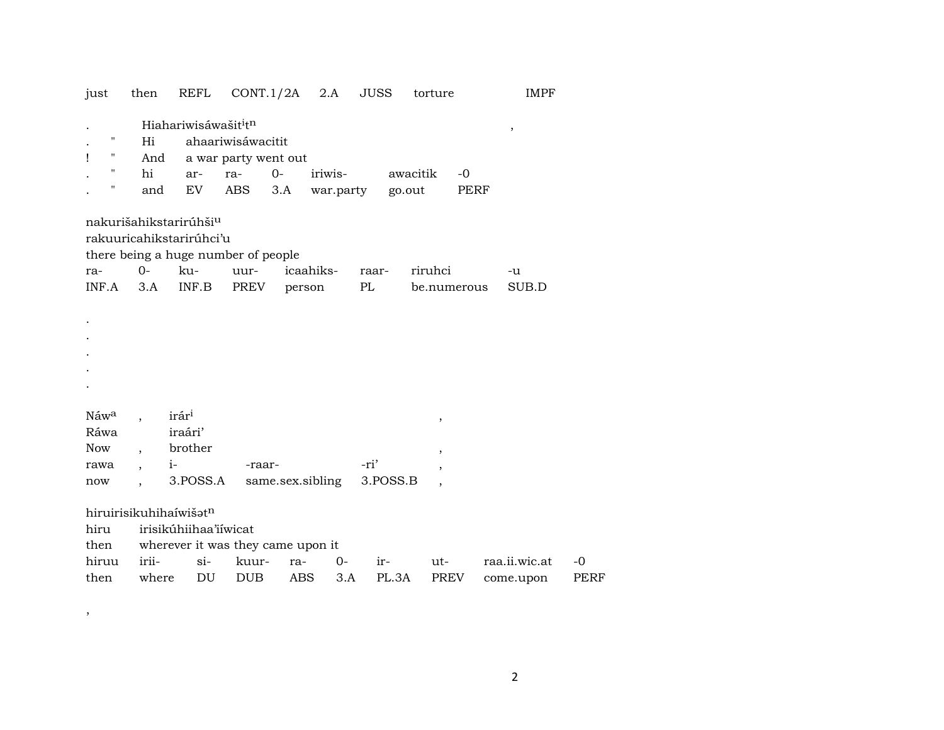| just                   | then  | REFL                                         | $CONT.1/2A$ 2.A      |            |                  | JUSS  |          | torture                  |      | <b>IMPF</b>   |             |
|------------------------|-------|----------------------------------------------|----------------------|------------|------------------|-------|----------|--------------------------|------|---------------|-------------|
|                        |       | Hiahariwisáwašit <sup>i</sup> t <sup>n</sup> |                      |            |                  |       |          |                          |      | $\, ,$        |             |
| н                      | Hi    |                                              | ahaariwisáwacitit    |            |                  |       |          |                          |      |               |             |
| Ţ<br>Н                 | And   |                                              | a war party went out |            |                  |       |          |                          |      |               |             |
| н.                     | hi    | ar-                                          | ra-                  | $0-$       | iriwis-          |       | awacitik |                          | $-0$ |               |             |
| н                      | and   | EV                                           | ABS                  | 3.A        | war.party        |       | go.out   |                          | PERF |               |             |
|                        |       |                                              |                      |            |                  |       |          |                          |      |               |             |
|                        |       | nakurišahikstarirúhši <sup>u</sup>           |                      |            |                  |       |          |                          |      |               |             |
|                        |       | rakuuricahikstarirúhci'u                     |                      |            |                  |       |          |                          |      |               |             |
|                        |       | there being a huge number of people          |                      |            |                  |       |          |                          |      |               |             |
| ra-                    | $O -$ | ku-                                          | uur-                 |            | icaahiks-        | raar- |          | riruhci                  |      | -u            |             |
| INF.A                  | 3.A   | INF.B                                        | PREV                 |            | person           | PL    |          | be.numerous              |      | SUB.D         |             |
|                        |       |                                              |                      |            |                  |       |          |                          |      |               |             |
|                        |       |                                              |                      |            |                  |       |          |                          |      |               |             |
|                        |       |                                              |                      |            |                  |       |          |                          |      |               |             |
|                        |       |                                              |                      |            |                  |       |          |                          |      |               |             |
|                        |       |                                              |                      |            |                  |       |          |                          |      |               |             |
|                        |       |                                              |                      |            |                  |       |          |                          |      |               |             |
|                        |       |                                              |                      |            |                  |       |          |                          |      |               |             |
| Náw <sup>a</sup>       |       | irár <sup>i</sup>                            |                      |            |                  |       |          | $\, ,$                   |      |               |             |
| Ráwa                   |       | iraári'                                      |                      |            |                  |       |          |                          |      |               |             |
| <b>Now</b>             |       | brother                                      |                      |            |                  |       |          | $\, ,$                   |      |               |             |
| rawa                   |       | $i-$                                         | -raar-               |            |                  | -ri'  |          | ,                        |      |               |             |
| now                    |       | 3.POSS.A                                     |                      |            | same.sex.sibling |       | 3.POSS.B | $\overline{\phantom{a}}$ |      |               |             |
|                        |       |                                              |                      |            |                  |       |          |                          |      |               |             |
| hiruirisikuhihaíwišatn |       |                                              |                      |            |                  |       |          |                          |      |               |             |
| hiru                   |       | irisikúhiihaa'iíwicat                        |                      |            |                  |       |          |                          |      |               |             |
| then                   |       | wherever it was they came upon it            |                      |            |                  |       |          |                          |      |               |             |
| hiruu                  | irii- | $si-$                                        | kuur-                | ra-        | 0-               | ir-   |          | ut-                      |      | raa.ii.wic.at | $-0$        |
| then                   | where | DU                                           | <b>DUB</b>           | <b>ABS</b> | 3.A              |       | PL.3A    | <b>PREV</b>              |      | come.upon     | <b>PERF</b> |

 $\overline{\phantom{a}}$ 

 $\overline{2}$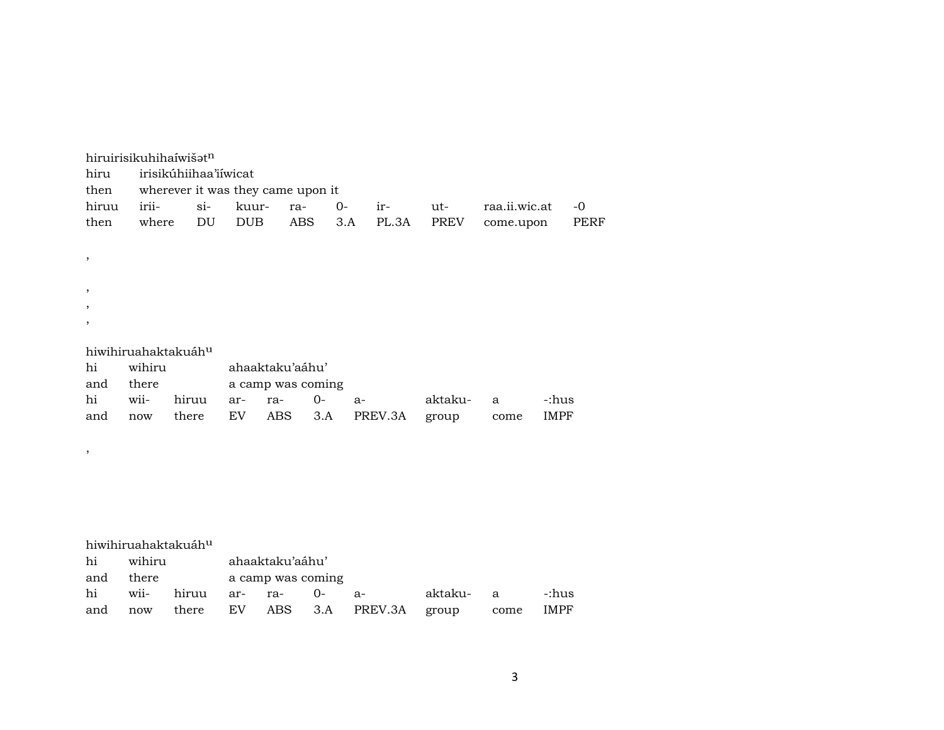|                          |        | hiruirisikuhihaíwišatn            |            |                   |       |              |         |               |             |
|--------------------------|--------|-----------------------------------|------------|-------------------|-------|--------------|---------|---------------|-------------|
| hiru                     |        | irisikúhiihaa'iíwicat             |            |                   |       |              |         |               |             |
| then                     |        | wherever it was they came upon it |            |                   |       |              |         |               |             |
| hiruu                    | irii-  | $si$ -                            | kuur-      | ra-               | $O -$ | ir-          | ut-     | raa.ii.wic.at | $-0$        |
| then                     | where  | DU                                | <b>DUB</b> |                   | ABS   | PL.3A<br>3.A | PREV    | come.upon     | <b>PERF</b> |
|                          |        |                                   |            |                   |       |              |         |               |             |
| $^\mathrm{,}$            |        |                                   |            |                   |       |              |         |               |             |
|                          |        |                                   |            |                   |       |              |         |               |             |
| ,                        |        |                                   |            |                   |       |              |         |               |             |
| $\overline{\phantom{a}}$ |        |                                   |            |                   |       |              |         |               |             |
| $\overline{\phantom{a}}$ |        |                                   |            |                   |       |              |         |               |             |
|                          |        |                                   |            |                   |       |              |         |               |             |
|                          |        | hiwihiruahaktakuáh <sup>u</sup>   |            |                   |       |              |         |               |             |
| hi                       | wihiru |                                   |            | ahaaktaku'aáhu'   |       |              |         |               |             |
| and                      | there  |                                   |            | a camp was coming |       |              |         |               |             |
| hi                       | wii-   | hiruu                             | ar-        | ra-               | $O -$ | $a-$         | aktaku- | $\mathbf{a}$  | -:hus       |
| and                      | now    | there                             | EV         | ABS               | 3.A   | PREV.3A      | group   | come          | <b>IMPF</b> |
|                          |        |                                   |            |                   |       |              |         |               |             |
| $\, ,$                   |        |                                   |            |                   |       |              |         |               |             |
|                          |        |                                   |            |                   |       |              |         |               |             |
|                          |        |                                   |            |                   |       |              |         |               |             |
|                          |        |                                   |            |                   |       |              |         |               |             |
|                          |        |                                   |            |                   |       |              |         |               |             |
|                          |        |                                   |            |                   |       |              |         |               |             |
|                          |        | hiwihiruahaktakuáh <sup>u</sup>   |            |                   |       |              |         |               |             |
| hi                       | wihiru |                                   |            | ahaaktaku'aáhu'   |       |              |         |               |             |
| and                      | there  |                                   |            | a camp was coming |       |              |         |               |             |
| hi                       | wii-   | hiruu                             | ar-        | ra-               | $O -$ | $a-$         | aktaku- | a             | -:hus       |
| and                      | now    | there                             | EV         | ABS               | 3.A   | PREV.3A      | group   | come          | <b>IMPF</b> |

3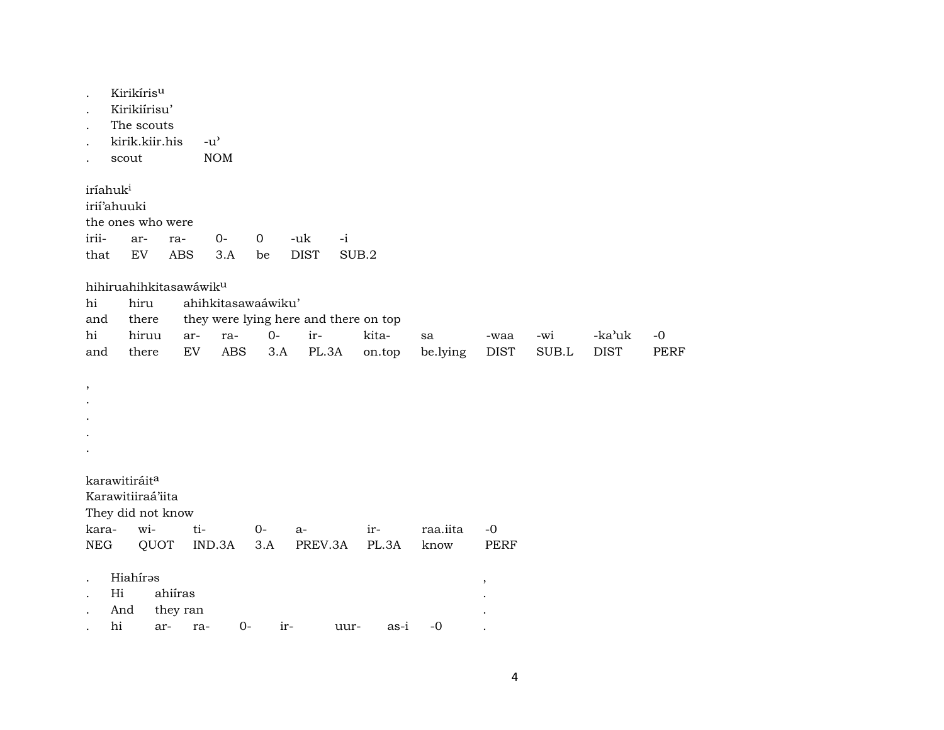| Kirikíris <sup>u</sup> |
|------------------------|
|                        |

- Kirikiírisu'  $\ddot{\phantom{a}}$
- The scouts
- kirik.kiir.his  $-u^{\prime}$
- scout **NOM**  $\ddot{\phantom{a}}$

iríahuk<sup>i</sup> irií'ahuuki the ones who were iriiarra- $O \mathbf 0$ -uk  $-i$ that EV ABS **DIST** SUB.2  $3.A$ be

hihiruahihkitasawáwik<sup>u</sup>

| hi | hiru ahihkitasawaáwiku' |                                                 |  |  |                                   |                                                                 |  |          |           |  |  |
|----|-------------------------|-------------------------------------------------|--|--|-----------------------------------|-----------------------------------------------------------------|--|----------|-----------|--|--|
|    |                         | and there they were lying here and there on top |  |  |                                   |                                                                 |  |          |           |  |  |
|    |                         |                                                 |  |  | hi hiruu ar- ra- 0- ir-  kita- sa |                                                                 |  | -waa -wi | -ka'uk -0 |  |  |
|    |                         |                                                 |  |  |                                   | and there EV ABS 3.A PL.3A on.top be.lying DIST SUB.L DIST PERF |  |          |           |  |  |

 $\cdot$ 

- $\cdot$
- $\cdot$
- $\bullet$
- $\bullet$

karawitiráit<sup>a</sup>

Karawitiiraá'iita

They did not know

|  |  | kara- wi- ti- 0- a- ir- raa.iita -0         |  |  |
|--|--|---------------------------------------------|--|--|
|  |  | NEG QUOT IND.3A 3.A PREV.3A PL.3A know PERF |  |  |

| Hiahírəs |  |
|----------|--|
|          |  |

- Hi ahiíras  $\mathbf{L}$
- And they ran  $\ddot{\phantom{a}}$
- hi ar- ra- $0$ iruur $as-i$  -0  $\cdot$

 $\,$ 

 $\cdot$ 

 $\ddot{\phantom{a}}$ 

 $\ddot{\phantom{a}}$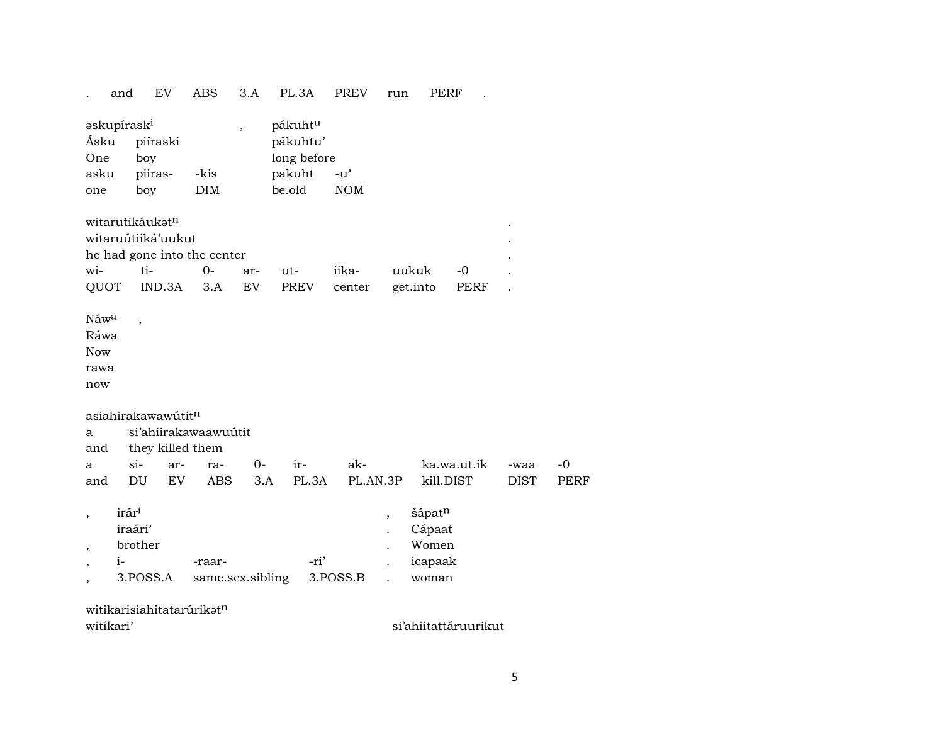3.A PL.3A EV ABS PREV PERF and run  $\sim 10$  $\mathcal{L}^{\pm}$ 

| askupírask <sup>i</sup><br>Ásku<br>One | piíraski<br>boy                                                                                                |                   | $\overline{\phantom{a}}$ | pákuht <sup>u</sup><br>pákuhtu'<br>long before |                                                                                                                                                                                                                                                                                                                     |               |
|----------------------------------------|----------------------------------------------------------------------------------------------------------------|-------------------|--------------------------|------------------------------------------------|---------------------------------------------------------------------------------------------------------------------------------------------------------------------------------------------------------------------------------------------------------------------------------------------------------------------|---------------|
| asku                                   | piiras-                                                                                                        | -kis              |                          | pakuht -u'                                     |                                                                                                                                                                                                                                                                                                                     |               |
| one                                    | boy                                                                                                            | DIM               |                          | be.old NOM                                     |                                                                                                                                                                                                                                                                                                                     |               |
|                                        | witarutikáukət <sup>n</sup><br>witaruútiiká'uukut                                                              |                   |                          |                                                |                                                                                                                                                                                                                                                                                                                     |               |
|                                        | he had gone into the center                                                                                    |                   |                          |                                                |                                                                                                                                                                                                                                                                                                                     |               |
|                                        | the contract of the contract of the contract of the contract of the contract of the contract of the contract o | $\mathbf{\Omega}$ | $\sim$ $\sim$            | $-1$                                           | $\frac{1}{2}$ $\frac{1}{2}$ $\frac{1}{2}$ $\frac{1}{2}$ $\frac{1}{2}$ $\frac{1}{2}$ $\frac{1}{2}$ $\frac{1}{2}$ $\frac{1}{2}$ $\frac{1}{2}$ $\frac{1}{2}$ $\frac{1}{2}$ $\frac{1}{2}$ $\frac{1}{2}$ $\frac{1}{2}$ $\frac{1}{2}$ $\frac{1}{2}$ $\frac{1}{2}$ $\frac{1}{2}$ $\frac{1}{2}$ $\frac{1}{2}$ $\frac{1}{2}$ | 1.1.1.1.1.1.1 |

|  |  |  | QUOT IND.3A 3.A EV PREV center get.into PERF . |  |
|--|--|--|------------------------------------------------|--|

 $\rm N$ áw $\rm ^a$ Ráwa

Now

rawa

now

## asiahirakawawútit<sup>n</sup>

 $\overline{\phantom{a}}$ 

|  | a si'ahiirakawaawuútit |  |  |  |  |                                                 |  |      |  |  |  |
|--|------------------------|--|--|--|--|-------------------------------------------------|--|------|--|--|--|
|  | and they killed them   |  |  |  |  |                                                 |  |      |  |  |  |
|  |                        |  |  |  |  | a si- ar- ra- 0- ir- ak-   ka.wa.ut.ik -waa -0  |  |      |  |  |  |
|  |                        |  |  |  |  | and DU EV ABS 3.A PL.3A PL.AN.3P kill.DIST DIST |  | PERF |  |  |  |

| irár <sup>i</sup> |                  |          | šápat <sup>n</sup> |
|-------------------|------------------|----------|--------------------|
| iraári'           |                  |          | Cápaat             |
| <b>brother</b>    |                  |          | Women              |
| $1 -$             | -raar-           | -ri'     | icapaak            |
| 3.POSS.A          | same.sex.sibling | 3.POSS.B | woman              |

| witikarisiahitatarúrikət <sup>n</sup> |  |
|---------------------------------------|--|
| witikari'                             |  |

si'ahiitattáruurikut

 $\ddot{\phantom{a}}$  $\ddot{\phantom{a}}$  $\mathbf{r}$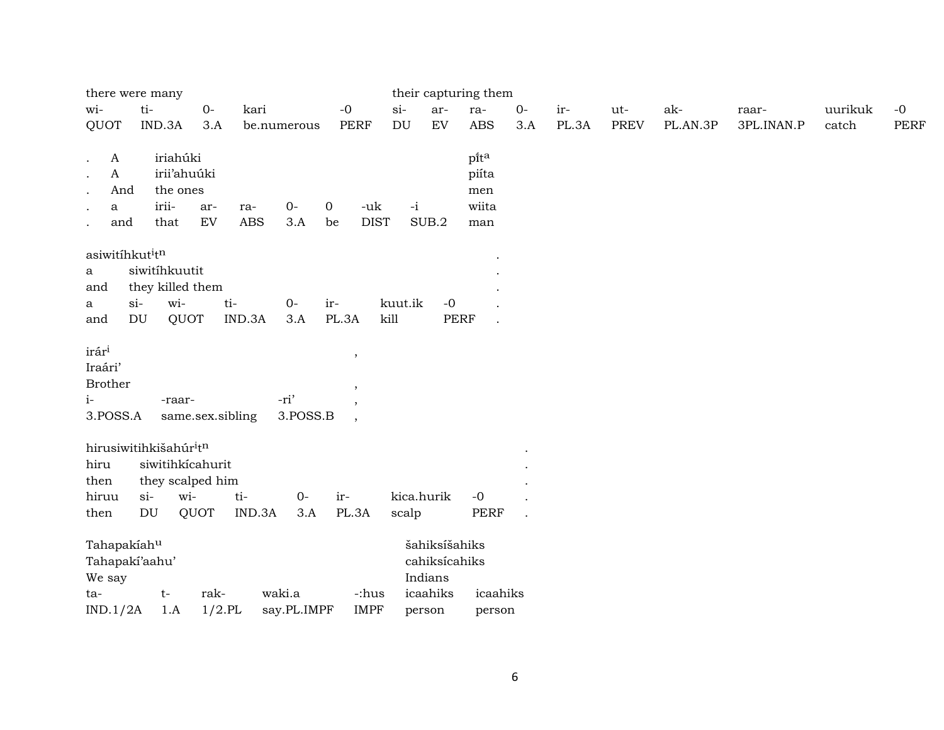| there were many                                                                                                   |                                                                                  |                                                     |                   |                       |                               |                     |                                                       | their capturing them                 |             |              |                    |                 |                     |                  |                     |
|-------------------------------------------------------------------------------------------------------------------|----------------------------------------------------------------------------------|-----------------------------------------------------|-------------------|-----------------------|-------------------------------|---------------------|-------------------------------------------------------|--------------------------------------|-------------|--------------|--------------------|-----------------|---------------------|------------------|---------------------|
| wi-<br>QUOT                                                                                                       | ti-<br>IND.3A                                                                    | $O-$<br>3.A                                         | kari              | be.numerous           | $-0$<br>PERF                  | $si-$<br>DU         | ar-<br>${\rm EV}$                                     | ra-<br><b>ABS</b>                    | $0-$<br>3.A | ir-<br>PL.3A | ut-<br><b>PREV</b> | ak-<br>PL.AN.3P | raar-<br>3PL.INAN.P | uurikuk<br>catch | $-0$<br><b>PERF</b> |
| $\boldsymbol{A}$<br>$\cdot$<br>$\mathbf A$<br>$\bullet$<br>And<br>$\bullet$<br>a<br>$\bullet$<br>and<br>$\bullet$ | iriahúki<br>the ones<br>irii-<br>that                                            | irii'ahuúki<br>ar-<br>${\rm EV}$                    | ra-<br><b>ABS</b> | $O -$<br>3.A          | 0<br>-uk<br><b>DIST</b><br>be | $-i$                | SUB.2                                                 | pita<br>piíta<br>men<br>wiita<br>man |             |              |                    |                 |                     |                  |                     |
| asiwitíhkutitn<br>a<br>and<br>a<br>and                                                                            | siwitihkuutit<br>they killed them<br>wi-<br>$si$ -<br>$\mathop{\rm DU}\nolimits$ | QUOT                                                | ti-<br>IND.3A     | $0-$<br>3.A           | ir-<br>PL.3A                  | kuut.ik<br>kill     | $-0$<br><b>PERF</b>                                   |                                      |             |              |                    |                 |                     |                  |                     |
| irár <sup>i</sup><br>Iraári'<br><b>Brother</b><br>$i-$<br>3.POSS.A                                                | -raar-                                                                           | same.sex.sibling                                    |                   | -ri'<br>3.POSS.B      | $\,$<br>$\cdot$               |                     |                                                       |                                      |             |              |                    |                 |                     |                  |                     |
| hirusiwitihkišahúr <sup>i</sup> tn<br>hiru<br>then<br>hiruu<br>then                                               | $si$ -<br>DU                                                                     | siwitihkicahurit<br>they scalped him<br>wi-<br>QUOT | ti-<br>IND.3A     | $0-$<br>3.A           | ir-<br>PL.3A                  | kica.hurik<br>scalp |                                                       | $-0$<br><b>PERF</b>                  |             |              |                    |                 |                     |                  |                     |
| Tahapakiahu<br>Tahapakí'aahu'<br>We say<br>ta-<br>IND.1/2A                                                        | $t-$<br>1.A                                                                      | rak-<br>$1/2$ .PL                                   |                   | waki.a<br>say.PL.IMPF | -:hus<br><b>IMPF</b>          | person              | šahiksíšahiks<br>cahiksícahiks<br>Indians<br>icaahiks | icaahiks<br>person                   |             |              |                    |                 |                     |                  |                     |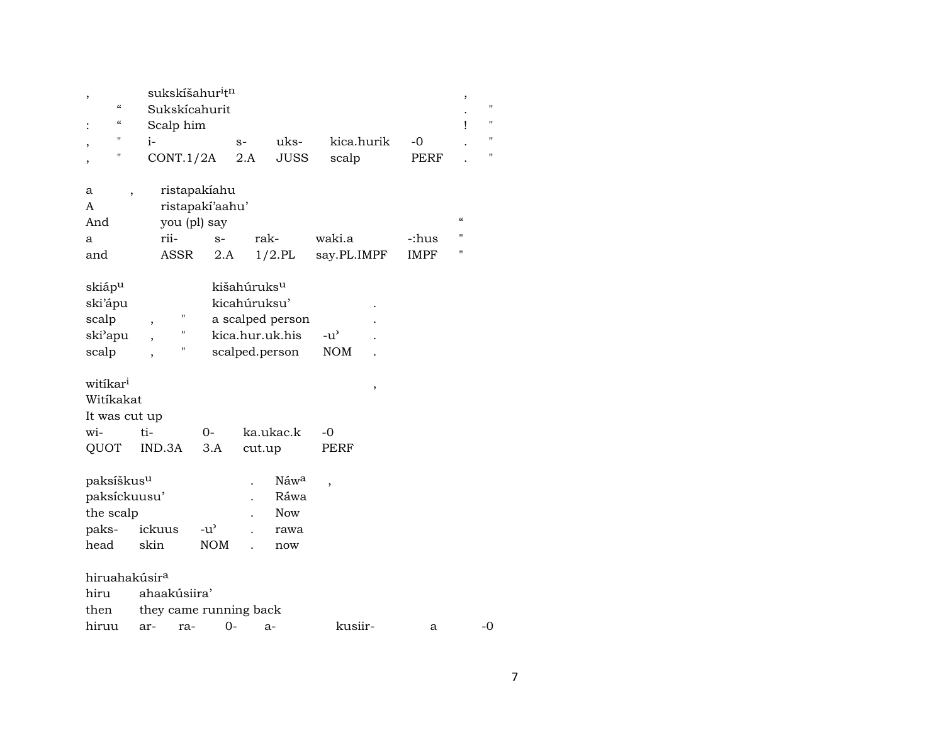| ,                         | sukskíšahur <sup>i</sup> t <sup>n</sup>  |                 |                         |                  |                          |             | ,                  |
|---------------------------|------------------------------------------|-----------------|-------------------------|------------------|--------------------------|-------------|--------------------|
| $\pmb{\zeta}\pmb{\zeta}$  | Sukskícahurit                            |                 |                         |                  |                          |             |                    |
| $\pmb{\zeta}\pmb{\zeta}$  | Scalp him                                |                 |                         |                  |                          |             | Ţ                  |
| "<br>$\overline{ }$       | i-                                       |                 | $S-$                    | uks-             | kica.hurik               | -0          |                    |
| н<br>,                    | CONT.1/2A                                |                 | 2.A                     | <b>JUSS</b>      | scalp                    | PERF        |                    |
|                           |                                          |                 |                         |                  |                          |             |                    |
| а                         |                                          | ristapakíahu    |                         |                  |                          |             |                    |
| A                         |                                          | ristapakí'aahu' |                         |                  |                          |             |                    |
| And                       | you (pl) say                             |                 |                         |                  |                          |             | $\epsilon\epsilon$ |
| a                         | rii-                                     | $S-$            | rak-                    |                  | waki.a                   | -:hus       | $^{\prime}$        |
| and                       | <b>ASSR</b>                              | 2.A             |                         | $1/2$ .PL        | say.PL.IMPF              | <b>IMPF</b> |                    |
|                           |                                          |                 |                         |                  |                          |             |                    |
| skiáp <sup>u</sup>        |                                          |                 | kišahúruks <sup>u</sup> |                  |                          |             |                    |
| ski'ápu                   |                                          |                 | kicahúruksu'            |                  |                          |             |                    |
| scalp                     | П<br>,                                   |                 |                         | a scalped person |                          |             |                    |
| ski'apu                   | $\mathbf{H}$<br>$\overline{\phantom{a}}$ |                 |                         | kica.hur.uk.his  | $-u^{\prime}$            |             |                    |
| scalp                     | П<br>$\overline{ }$                      |                 |                         | scalped.person   | NOM                      |             |                    |
|                           |                                          |                 |                         |                  |                          |             |                    |
| witikar <sup>i</sup>      |                                          |                 |                         |                  | ,                        |             |                    |
| Witíkakat                 |                                          |                 |                         |                  |                          |             |                    |
| It was cut up             |                                          |                 |                         |                  |                          |             |                    |
| wi-                       | ti-                                      | $O -$           |                         | ka.ukac.k        | -0                       |             |                    |
| QUOT                      | IND.3A                                   | 3.A             | cut.up                  |                  | PERF                     |             |                    |
|                           |                                          |                 |                         |                  |                          |             |                    |
| paksíškus <sup>u</sup>    |                                          |                 |                         | Náw <sup>a</sup> | $\overline{\phantom{a}}$ |             |                    |
| paksíckuusu'              |                                          |                 |                         | Ráwa             |                          |             |                    |
| the scalp                 |                                          |                 |                         | Now              |                          |             |                    |
| paks-                     | ickuus                                   | $-u^{\prime}$   |                         | rawa             |                          |             |                    |
| head                      | skin                                     | <b>NOM</b>      |                         | now              |                          |             |                    |
|                           |                                          |                 |                         |                  |                          |             |                    |
| hiruahakúsir <sup>a</sup> |                                          |                 |                         |                  |                          |             |                    |
| hiru                      | ahaakúsiira'                             |                 |                         |                  |                          |             |                    |
| then                      | they came running back                   |                 |                         |                  |                          |             |                    |
| hiruu                     | ar-<br>ra-                               | 0-              | - a-                    |                  | kusiir-                  | a           |                    |

 $\mbox{-}0$ 

 $\mathbf{u}$  $\mathbf{u}$  $\boldsymbol{\mathsf{H}}$  $\mathbf{u}$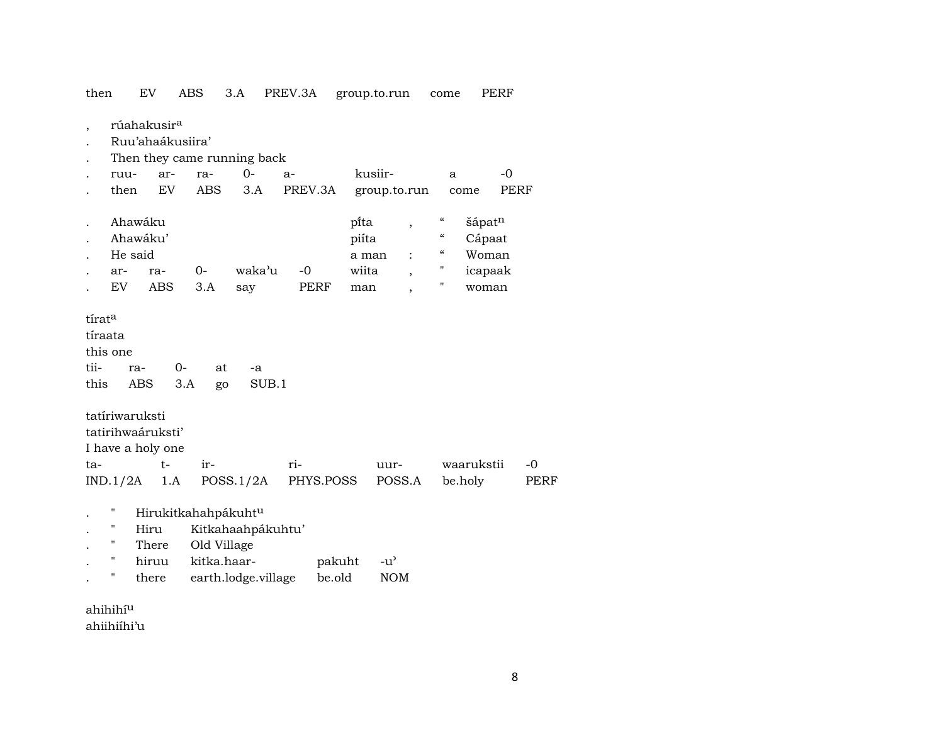| then                              |                                             | EV                                                     | <b>ABS</b>                 | 3.A                                      | PREV.3A      |                                 | group.to.run                                                  | come                                                                                                                | PERF                                                      |      |
|-----------------------------------|---------------------------------------------|--------------------------------------------------------|----------------------------|------------------------------------------|--------------|---------------------------------|---------------------------------------------------------------|---------------------------------------------------------------------------------------------------------------------|-----------------------------------------------------------|------|
|                                   |                                             | rúahakusir <sup>a</sup><br>Ruu'ahaákusiira'            |                            | Then they came running back              |              |                                 |                                                               |                                                                                                                     |                                                           |      |
|                                   | ruu-                                        | ar-                                                    | ra-                        | $0 -$                                    | $a-$         |                                 | kusiir-                                                       | a                                                                                                                   | $-0$                                                      |      |
|                                   | then                                        | <b>EV</b>                                              | <b>ABS</b>                 | 3.A                                      | PREV.3A      |                                 | group.to.run                                                  |                                                                                                                     | come                                                      | PERF |
|                                   | Ahawáku<br>Ahawáku'<br>He said<br>ar-<br>EV | ra-<br><b>ABS</b>                                      | $0-$<br>3.A                | waka'u<br>say                            | $-0$<br>PERF | pi̇̃ta<br>piíta<br>wiita<br>man | $\, ,$<br>a man<br>$\ddot{\cdot}$<br>$\overline{\phantom{a}}$ | $\boldsymbol{\zeta}\boldsymbol{\zeta}$<br>$\mathcal{C}\mathcal{C}$<br>"<br>$\pmb{\mathsf{H}}$<br>$\pmb{\mathsf{H}}$ | šápat <sup>n</sup><br>Cápaat<br>Woman<br>icapaak<br>woman |      |
| tírata<br>tíraata<br>tii-<br>this | this one<br>ra-<br>ABS                      | $0-$                                                   | at<br>3.A<br>go            | -a<br>SUB.1                              |              |                                 |                                                               |                                                                                                                     |                                                           |      |
|                                   | tatíriwaruksti                              |                                                        |                            |                                          |              |                                 |                                                               |                                                                                                                     |                                                           |      |
|                                   |                                             | tatirihwaáruksti'                                      |                            |                                          |              |                                 |                                                               |                                                                                                                     |                                                           |      |
| ta-                               |                                             | I have a holy one<br>$t-$                              | ir-                        |                                          | ri-          |                                 | uur-                                                          |                                                                                                                     | waarukstii                                                | $-0$ |
|                                   | IND.1/2A                                    | 1.A                                                    |                            | POSS.1/2A                                | PHYS.POSS    |                                 | POSS.A                                                        |                                                                                                                     | be.holy                                                   | PERF |
|                                   | Н<br>н<br>11<br>н<br>П                      | Hirukitkahahpákuhtu<br>Hiru<br>There<br>hiruu<br>there | Old Village<br>kitka.haar- | Kitkahaahpákuhtu'<br>earth.lodge.village |              | pakuht<br>be.old                | $-u^{\prime}$<br><b>NOM</b>                                   |                                                                                                                     |                                                           |      |

ahihihí $^{\rm u}$ ahiihiíhi'u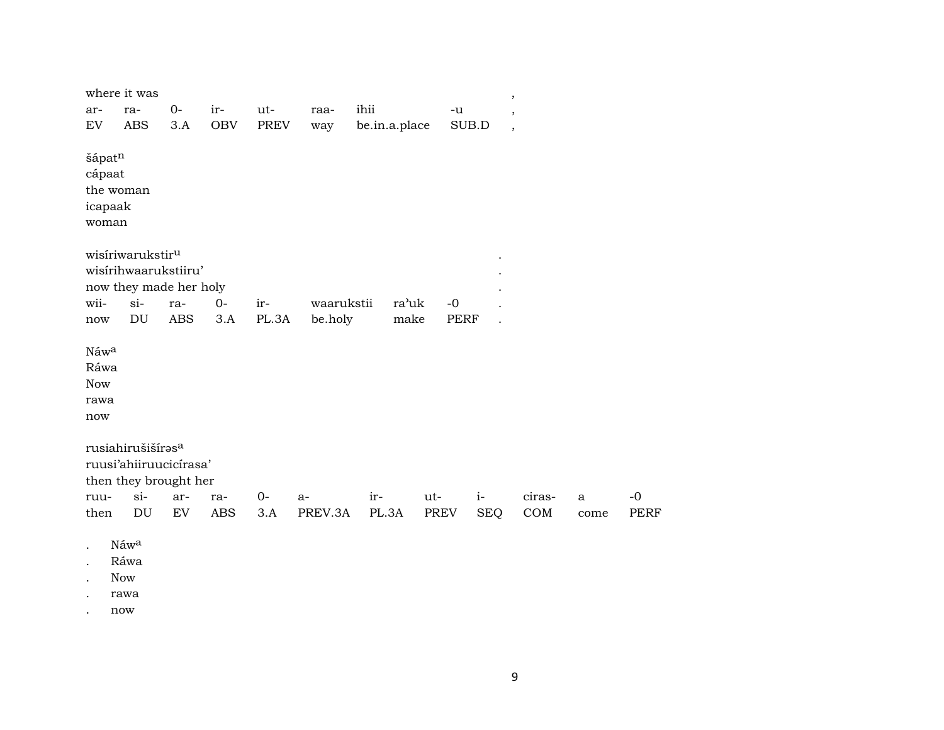|                                           | where it was                                                                   |            |            |             |            |               |             |            | $\, ,$                   |              |             |
|-------------------------------------------|--------------------------------------------------------------------------------|------------|------------|-------------|------------|---------------|-------------|------------|--------------------------|--------------|-------------|
| ar-                                       | ra-                                                                            | $0-$       | ir-        | ut-         | raa-       | ihii          | -u          |            | $^\mathrm{,}$            |              |             |
| EV                                        | <b>ABS</b>                                                                     | $3.A$      | <b>OBV</b> | <b>PREV</b> | way        | be.in.a.place |             | SUB.D      | $\overline{\phantom{a}}$ |              |             |
| šápatn<br>cápaat<br>icapaak<br>woman      | the woman                                                                      |            |            |             |            |               |             |            |                          |              |             |
|                                           | wisiriwarukstir <sup>u</sup><br>wisirihwaarukstiiru'<br>now they made her holy |            |            |             |            |               |             |            |                          |              |             |
| wii-                                      | $si-$                                                                          | ra-        | $0-$       | ir-         | waarukstii | ra'uk         | $-0$        |            |                          |              |             |
| now                                       | DU                                                                             | <b>ABS</b> | 3.A        | PL.3A       | be.holy    | make          | <b>PERF</b> |            |                          |              |             |
| Náwa<br>Ráwa<br><b>Now</b><br>rawa<br>now |                                                                                |            |            |             |            |               |             |            |                          |              |             |
|                                           | rusiahirušišíras <sup>a</sup><br>ruusi'ahiiruucicírasa'                        |            |            |             |            |               |             |            |                          |              |             |
|                                           | then they brought her                                                          |            |            |             |            |               |             |            |                          |              |             |
| ruu-                                      | $si$ -                                                                         | ar-        | ra-        | $0-$        | $a-$       | ir-           | ut-         | $i-$       | ciras-                   | $\mathbf{a}$ | $-0$        |
| then                                      | DU                                                                             | EV         | <b>ABS</b> | 3.A         | PREV.3A    | PL.3A         | PREV        | <b>SEQ</b> | COM                      | come         | <b>PERF</b> |
|                                           | Náwa                                                                           |            |            |             |            |               |             |            |                          |              |             |

- 
- . Ráwa
- . Now
- . rawa
- . now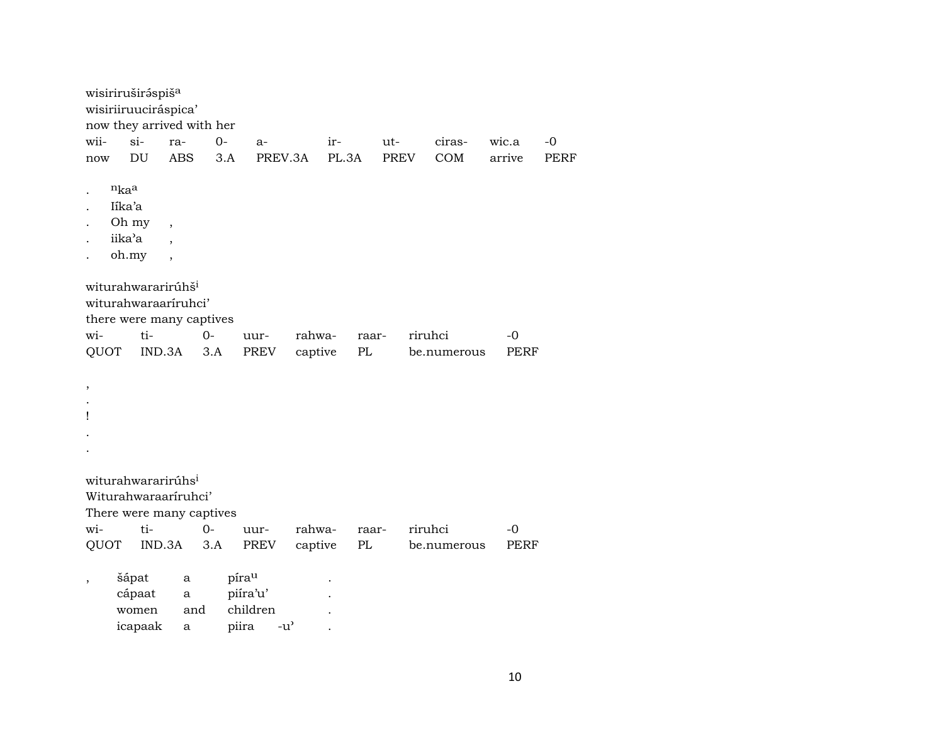|                      |                 | wisiriruširáspiša<br>wisiriiruuciráspica'<br>now they arrived with her |            |       |                        |         |       |       |             |         |             |        |             |             |
|----------------------|-----------------|------------------------------------------------------------------------|------------|-------|------------------------|---------|-------|-------|-------------|---------|-------------|--------|-------------|-------------|
| wii-                 | $si-$           |                                                                        | ra-        | $O -$ | $a-$                   |         | ir-   |       | ut-         |         | ciras-      | wic.a  |             | $-0$        |
| now                  |                 | DU                                                                     | <b>ABS</b> | 3.A   | PREV.3A                |         | PL.3A |       | <b>PREV</b> |         | COM         | arrive |             | <b>PERF</b> |
|                      |                 |                                                                        |            |       |                        |         |       |       |             |         |             |        |             |             |
|                      | $n_{ka}$        |                                                                        |            |       |                        |         |       |       |             |         |             |        |             |             |
| $\ddot{\phantom{0}}$ | Iíka'a          |                                                                        |            |       |                        |         |       |       |             |         |             |        |             |             |
|                      | Oh my           | $\overline{\phantom{a}}$                                               |            |       |                        |         |       |       |             |         |             |        |             |             |
|                      | iika'a          |                                                                        |            |       |                        |         |       |       |             |         |             |        |             |             |
|                      | oh.my           | $\overline{\phantom{a}}$                                               |            |       |                        |         |       |       |             |         |             |        |             |             |
|                      |                 |                                                                        |            |       |                        |         |       |       |             |         |             |        |             |             |
|                      |                 | witurahwararirúhš <sup>i</sup>                                         |            |       |                        |         |       |       |             |         |             |        |             |             |
|                      |                 | witurahwaraariruhci'                                                   |            |       |                        |         |       |       |             |         |             |        |             |             |
|                      |                 | there were many captives                                               |            |       |                        |         |       |       |             |         |             |        |             |             |
| wi-                  |                 | ti-                                                                    |            | $O -$ | uur-                   | rahwa-  |       | raar- |             | riruhci |             |        | -0          |             |
| QUOT                 |                 | IND.3A                                                                 |            | 3.A   | PREV                   | captive |       | PL    |             |         | be.numerous |        | <b>PERF</b> |             |
|                      |                 |                                                                        |            |       |                        |         |       |       |             |         |             |        |             |             |
|                      |                 |                                                                        |            |       |                        |         |       |       |             |         |             |        |             |             |
| $\pmb{\mathcal{I}}$  |                 |                                                                        |            |       |                        |         |       |       |             |         |             |        |             |             |
| 1                    |                 |                                                                        |            |       |                        |         |       |       |             |         |             |        |             |             |
|                      |                 |                                                                        |            |       |                        |         |       |       |             |         |             |        |             |             |
|                      |                 |                                                                        |            |       |                        |         |       |       |             |         |             |        |             |             |
|                      |                 |                                                                        |            |       |                        |         |       |       |             |         |             |        |             |             |
|                      |                 | witurahwararirúhs <sup>i</sup>                                         |            |       |                        |         |       |       |             |         |             |        |             |             |
|                      |                 | Witurahwaraaríruhci'                                                   |            |       |                        |         |       |       |             |         |             |        |             |             |
|                      |                 | There were many captives                                               |            |       |                        |         |       |       |             |         |             |        |             |             |
| wi-                  |                 | ti-                                                                    |            | $0-$  | uur-                   | rahwa-  |       | raar- |             | riruhci |             |        | -0          |             |
| QUOT                 |                 | IND.3A                                                                 |            | 3.A   | PREV                   | captive |       | PL    |             |         | be.numerous |        | PERF        |             |
|                      |                 |                                                                        |            |       |                        |         |       |       |             |         |             |        |             |             |
|                      | šápat           |                                                                        | a          |       | pírau                  |         |       |       |             |         |             |        |             |             |
| $\,$                 |                 |                                                                        |            |       | piíra'u'               |         |       |       |             |         |             |        |             |             |
|                      | cápaat<br>women |                                                                        | a<br>and   |       | children               |         |       |       |             |         |             |        |             |             |
|                      |                 |                                                                        |            |       |                        |         |       |       |             |         |             |        |             |             |
|                      |                 | icapaak                                                                | a          |       | piira<br>$-u^{\prime}$ |         |       |       |             |         |             |        |             |             |

 $10\,$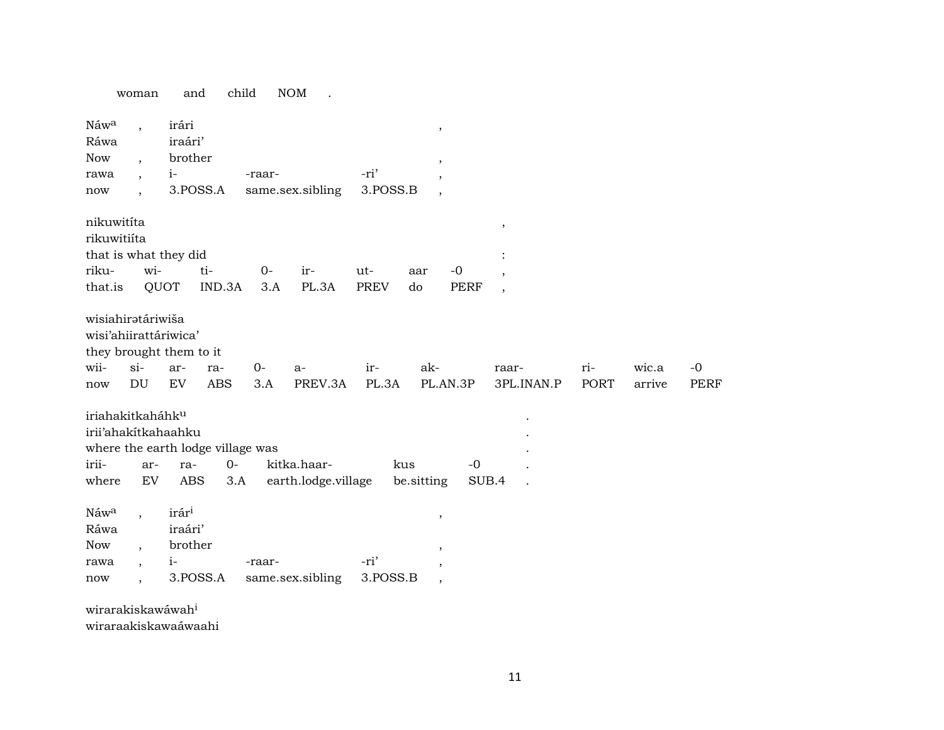|                                                                                      | woman                                                 | and                                 | child                                            |             | <b>NOM</b>                         |                    |                                                                |                     |                     |             |                 |                     |
|--------------------------------------------------------------------------------------|-------------------------------------------------------|-------------------------------------|--------------------------------------------------|-------------|------------------------------------|--------------------|----------------------------------------------------------------|---------------------|---------------------|-------------|-----------------|---------------------|
| Náw <sup>a</sup><br>Ráwa<br><b>Now</b><br>rawa<br>now                                | $\cdot$                                               | irári<br>iraári'<br>brother<br>$i-$ | 3.POSS.A                                         | -raar-      | same.sex.sibling                   | -ri'<br>3.POSS.B   | $^\mathrm{,}$<br>$\,$<br>$\overline{ }$                        |                     |                     |             |                 |                     |
| nikuwitíta<br>rikuwitiíta<br>that is what they did<br>riku-<br>that.is               | wi-<br>QUOT                                           |                                     | ti-<br>IND.3A                                    | $0-$<br>3.A | ir-<br>PL.3A                       | ut-<br><b>PREV</b> | aar<br>do                                                      | $-0$<br><b>PERF</b> | ,<br>$\cdot$        |             |                 |                     |
| wisiahirətáriwiša<br>wisi'ahiirattáriwica'<br>they brought them to it<br>wii-<br>now | $si-$<br>$\mathop{\rm DU}\nolimits$                   | ar-<br>EV                           | ra-<br><b>ABS</b>                                | $0-$<br>3.A | a-<br>PREV.3A                      | ir-<br>PL.3A       | ak-                                                            | PL.AN.3P            | raar-<br>3PL.INAN.P | ri-<br>PORT | wic.a<br>arrive | $-0$<br><b>PERF</b> |
| iriahakitkaháhku<br>irii'ahakitkahaahku<br>irii-<br>where                            | ar-<br>EV                                             | ra-<br>ABS                          | where the earth lodge village was<br>$0-$<br>3.A |             | kitka.haar-<br>earth.lodge.village |                    | kus<br>be sitting                                              | $-0$<br>SUB.4       |                     |             |                 |                     |
| Náwa<br>Ráwa<br>Now<br>rawa<br>now                                                   | $\overline{ }$<br>$\overline{\phantom{a}}$<br>$\cdot$ | irári<br>iraári'<br>brother<br>$i-$ | 3.POSS.A                                         | -raar-      | same.sex.sibling                   | -ri'<br>3.POSS.B   | $^\mathrm{^\mathrm{o}}$<br>$\overline{\phantom{a}}$<br>$\cdot$ |                     |                     |             |                 |                     |
| wirarakiskawáwah <sup>i</sup>                                                        |                                                       |                                     |                                                  |             |                                    |                    |                                                                |                     |                     |             |                 |                     |

wiraraakiskawaáwaahi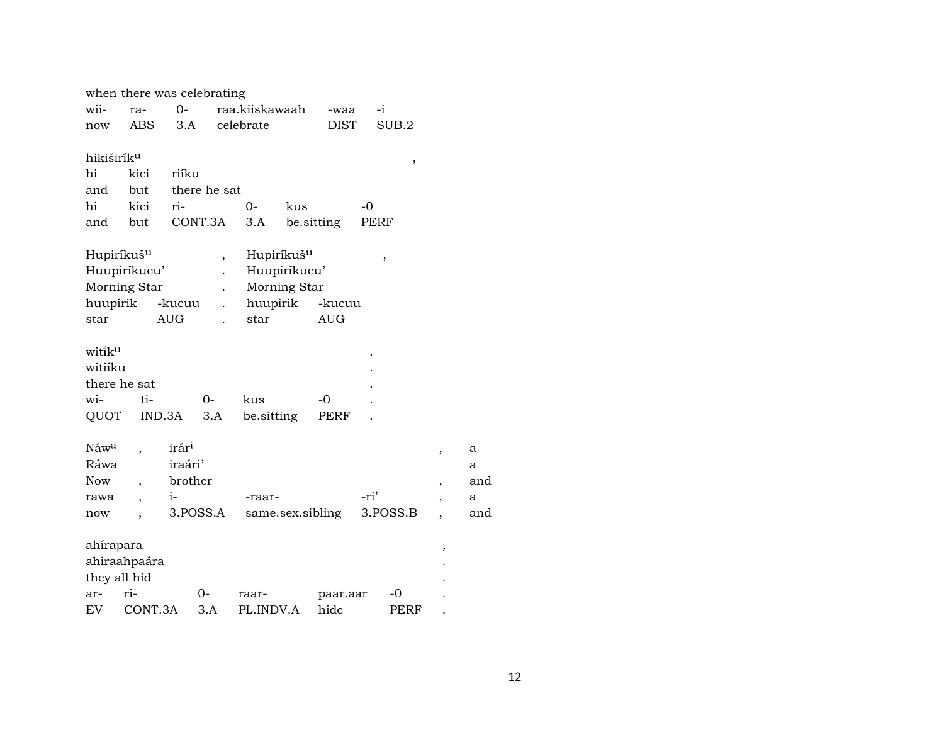|                        |                                        | when there was celebrating |                          |                    |                                        |                  |      |          |   |     |
|------------------------|----------------------------------------|----------------------------|--------------------------|--------------------|----------------------------------------|------------------|------|----------|---|-----|
| wii-                   | ra-                                    | $O -$                      |                          | raa.kiiskawaah     |                                        | -waa             | -i   |          |   |     |
| now                    | <b>ABS</b>                             | 3.A                        |                          | celebrate          |                                        | <b>DIST</b>      |      | SUB.2    |   |     |
|                        |                                        |                            |                          |                    |                                        |                  |      |          |   |     |
| hikiširík <sup>u</sup> |                                        |                            |                          |                    |                                        |                  |      | $\, ,$   |   |     |
| hi                     | kici                                   | riíku                      |                          |                    |                                        |                  |      |          |   |     |
| and                    | but                                    |                            | there he sat             |                    |                                        |                  |      |          |   |     |
| hi                     | kici                                   | ri-                        |                          | 0-                 | kus                                    |                  | -0   |          |   |     |
| and                    | but                                    |                            | CONT.3A                  | 3.A                |                                        | be.sitting       | PERF |          |   |     |
|                        |                                        |                            |                          |                    |                                        |                  |      |          |   |     |
|                        | Hupiríkuš <sup>u</sup><br>Huupiríkucu' |                            | $\overline{\phantom{a}}$ |                    | Hupiríkuš <sup>u</sup><br>Huupiríkucu' |                  |      | ,        |   |     |
|                        | Morning Star                           |                            | $\ddot{\phantom{0}}$     |                    | Morning Star                           |                  |      |          |   |     |
| huupirik               |                                        | -kucuu                     |                          | huupirik           |                                        | -kucuu           |      |          |   |     |
| star                   |                                        | <b>AUG</b>                 |                          | star               |                                        | <b>AUG</b>       |      |          |   |     |
|                        |                                        |                            |                          |                    |                                        |                  |      |          |   |     |
| witik <sup>u</sup>     |                                        |                            |                          |                    |                                        |                  |      |          |   |     |
| witiíku                |                                        |                            |                          |                    |                                        |                  |      |          |   |     |
|                        | there he sat                           |                            |                          |                    |                                        |                  |      |          |   |     |
| wi-                    | ti-                                    |                            | $O -$                    | kus                |                                        | -0               |      |          |   |     |
| QUOT                   |                                        | IND.3A                     | 3.A                      | be sitting         |                                        | PERF             |      |          |   |     |
|                        |                                        |                            |                          |                    |                                        |                  |      |          |   |     |
| Náwa                   |                                        | irár <sup>i</sup>          |                          |                    |                                        |                  |      |          | , | a   |
| Ráwa                   |                                        | iraári'                    |                          |                    |                                        |                  |      |          |   | a   |
| <b>Now</b>             | $\overline{\phantom{a}}$               | brother                    |                          |                    |                                        |                  |      |          | , | and |
| rawa                   |                                        | $i-$                       |                          | -raar-             |                                        |                  | -ri' |          |   | a   |
| now                    |                                        | 3.POSS.A                   |                          |                    |                                        | same.sex.sibling |      | 3.POSS.B |   | and |
|                        |                                        |                            |                          |                    |                                        |                  |      |          |   |     |
| ahírapara              |                                        |                            |                          |                    |                                        |                  |      |          | , |     |
|                        | ahiraahpaára                           |                            |                          |                    |                                        |                  |      |          |   |     |
| ar-                    | they all hid<br>ri-                    |                            | $0-$                     |                    |                                        |                  |      | -0       |   |     |
| EV                     | CONT.3A                                |                            | 3.A                      | raar-<br>PL.INDV.A |                                        | paar.aar<br>hide |      | PERF     |   |     |
|                        |                                        |                            |                          |                    |                                        |                  |      |          |   |     |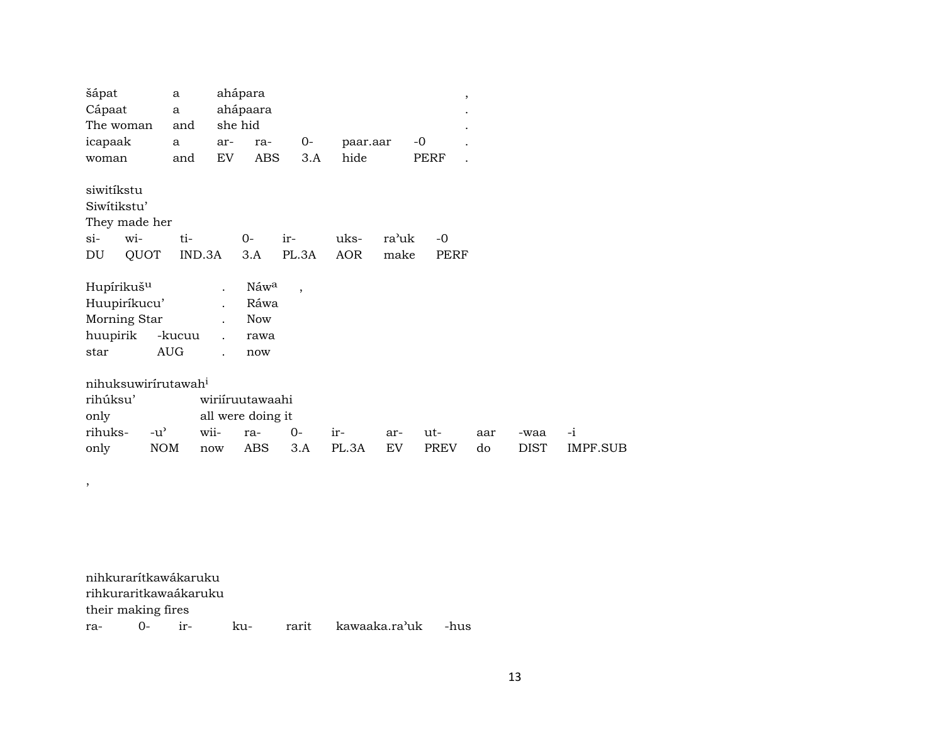| šápat                           | a             |        | ahápara           |                          |          |       | $^\mathrm{,}$ |     |             |          |
|---------------------------------|---------------|--------|-------------------|--------------------------|----------|-------|---------------|-----|-------------|----------|
| Cápaat                          | $\mathbf{a}$  |        | ahápaara          |                          |          |       |               |     |             |          |
| The woman                       | and           |        | she hid           |                          |          |       |               |     |             |          |
| icapaak                         | a             | ar-    | ra-               | 0-                       | paar.aar |       | $-0$          |     |             |          |
| woman                           | and           | EV     | <b>ABS</b>        | 3.A                      | hide     |       | PERF          |     |             |          |
|                                 |               |        |                   |                          |          |       |               |     |             |          |
| siwitíkstu                      |               |        |                   |                          |          |       |               |     |             |          |
| Siwitikstu'                     |               |        |                   |                          |          |       |               |     |             |          |
| They made her                   |               |        |                   |                          |          |       |               |     |             |          |
| wi-<br>$\sin$                   |               | ti-    | $0-$              | ir-                      | uks-     | ra'uk | $-0$          |     |             |          |
| QUOT<br>DU                      |               | IND.3A | 3.A               | PL.3A                    | AOR      | make  | PERF          |     |             |          |
|                                 |               |        |                   |                          |          |       |               |     |             |          |
| Hupírikuš <sup>u</sup>          |               |        | Náwa              | $\overline{\phantom{a}}$ |          |       |               |     |             |          |
| Huupiríkucu'                    |               |        | Ráwa              |                          |          |       |               |     |             |          |
| Morning Star                    |               |        | Now               |                          |          |       |               |     |             |          |
| huupirik                        | -kucuu        |        | rawa              |                          |          |       |               |     |             |          |
| star                            | <b>AUG</b>    |        | now               |                          |          |       |               |     |             |          |
|                                 |               |        |                   |                          |          |       |               |     |             |          |
| nihuksuwirirutawah <sup>i</sup> |               |        |                   |                          |          |       |               |     |             |          |
| rihúksu'                        |               |        | wiriiruutawaahi   |                          |          |       |               |     |             |          |
| only                            |               |        | all were doing it |                          |          |       |               |     |             |          |
| rihuks-                         | $-u^{\prime}$ | wii-   | ra-               | $0-$                     | ir-      | ar-   | ut-           | aar | -waa        | $-i$     |
| only                            | <b>NOM</b>    | now    | ABS               | 3.A                      | PL.3A    | EV    | <b>PREV</b>   | do  | <b>DIST</b> | IMPF.SUB |
|                                 |               |        |                   |                          |          |       |               |     |             |          |

nihkurarítkawákaruku rihkuraritkawaákaruku their making fires ra- 0- ir- ku- rarit kawaaka.ra"uk -hus

,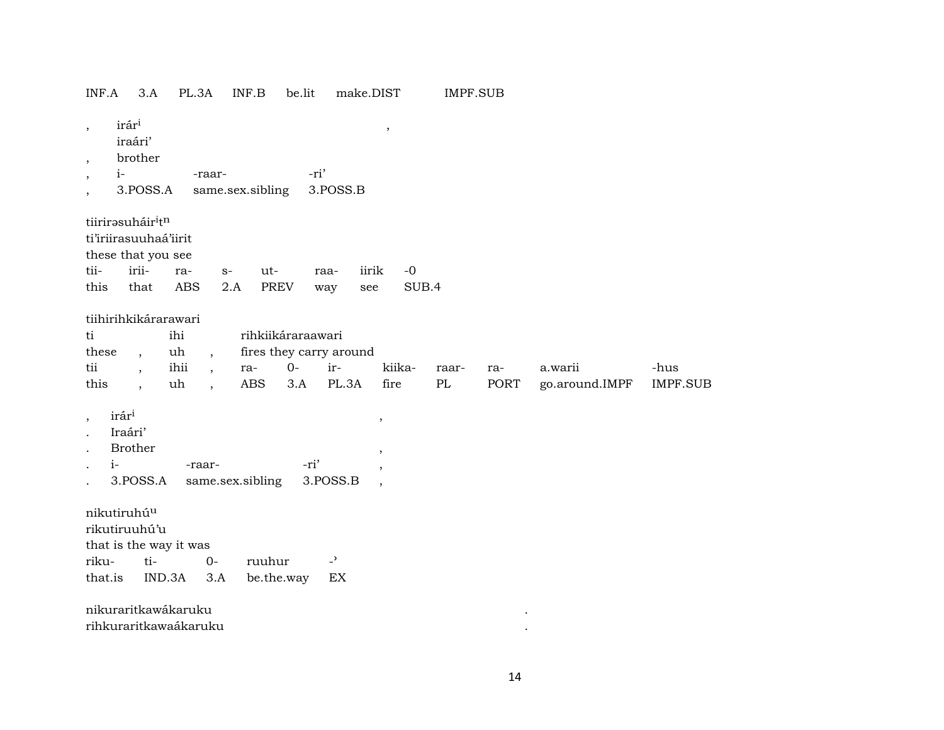| INF.A                                                                                               | 3.A                      | PL.3A      |                          | INF.B                | be.lit | make.DIST                  |                                            | <b>IMPF.SUB</b> |      |                |                 |
|-----------------------------------------------------------------------------------------------------|--------------------------|------------|--------------------------|----------------------|--------|----------------------------|--------------------------------------------|-----------------|------|----------------|-----------------|
| irári<br>$^\mathrm{,}$<br>iraári'<br>$\, ,$<br>$i-$<br>$\, ,$<br>$\overline{\phantom{a}}$           | brother<br>3.POSS.A      |            | -raar-                   | same.sex.sibling     | -ri'   | 3.POSS.B                   | $\overline{\phantom{a}}$                   |                 |      |                |                 |
| tiirirasuháir <sup>i</sup> tn<br>ti'iriirasuuhaá'iirit<br>these that you see                        |                          |            |                          |                      |        |                            |                                            |                 |      |                |                 |
| tii-                                                                                                | irii-                    | ra-        | $S-$                     | ut-                  |        | iirik<br>raa-              | $-0$                                       |                 |      |                |                 |
| this                                                                                                | that                     | <b>ABS</b> | 2.A                      | <b>PREV</b>          |        | see<br>way                 | SUB.4                                      |                 |      |                |                 |
| tiihirihkikárarawari                                                                                |                          |            |                          |                      |        |                            |                                            |                 |      |                |                 |
| ti                                                                                                  |                          | ihi        |                          | rihkiikáraraawari    |        |                            |                                            |                 |      |                |                 |
| these                                                                                               | $\overline{\phantom{a}}$ | uh         | $\overline{ }$ ,         |                      |        | fires they carry around    |                                            |                 |      |                |                 |
| tii                                                                                                 | $\overline{\phantom{a}}$ | ihii       | $\overline{\phantom{a}}$ | ra-                  | $0-$   | ir-                        | kiika-                                     | raar-           | ra-  | a.warii        | -hus            |
| this                                                                                                |                          | uh         | $\overline{\phantom{a}}$ | <b>ABS</b>           | 3.A    | PL.3A                      | fire                                       | PL              | PORT | go.around.IMPF | <b>IMPF.SUB</b> |
| irár <sup>i</sup><br>$\, ,$<br>Iraári'<br>$\cdot$<br><b>Brother</b><br>$i-$<br>$\ddot{\phantom{0}}$ | 3.POSS.A                 | -raar-     |                          | same.sex.sibling     | -ri'   | 3.POSS.B                   | $\,$<br>$\, ,$<br>$\overline{\phantom{a}}$ |                 |      |                |                 |
| nikutiruhú <sup>u</sup><br>rikutiruuhú'u                                                            |                          |            |                          |                      |        |                            |                                            |                 |      |                |                 |
| that is the way it was                                                                              | ti-                      |            |                          |                      |        | $\overline{a}$             |                                            |                 |      |                |                 |
| riku-<br>that.is                                                                                    | IND.3A                   |            | $O -$<br>3.A             | ruuhur<br>be.the.way |        | $\mathop{\rm EX}\nolimits$ |                                            |                 |      |                |                 |
|                                                                                                     |                          |            |                          |                      |        |                            |                                            |                 |      |                |                 |
| nikuraritkawákaruku                                                                                 |                          |            |                          |                      |        |                            |                                            |                 |      |                |                 |
| rihkuraritkawaákaruku                                                                               |                          |            |                          |                      |        |                            |                                            |                 |      |                |                 |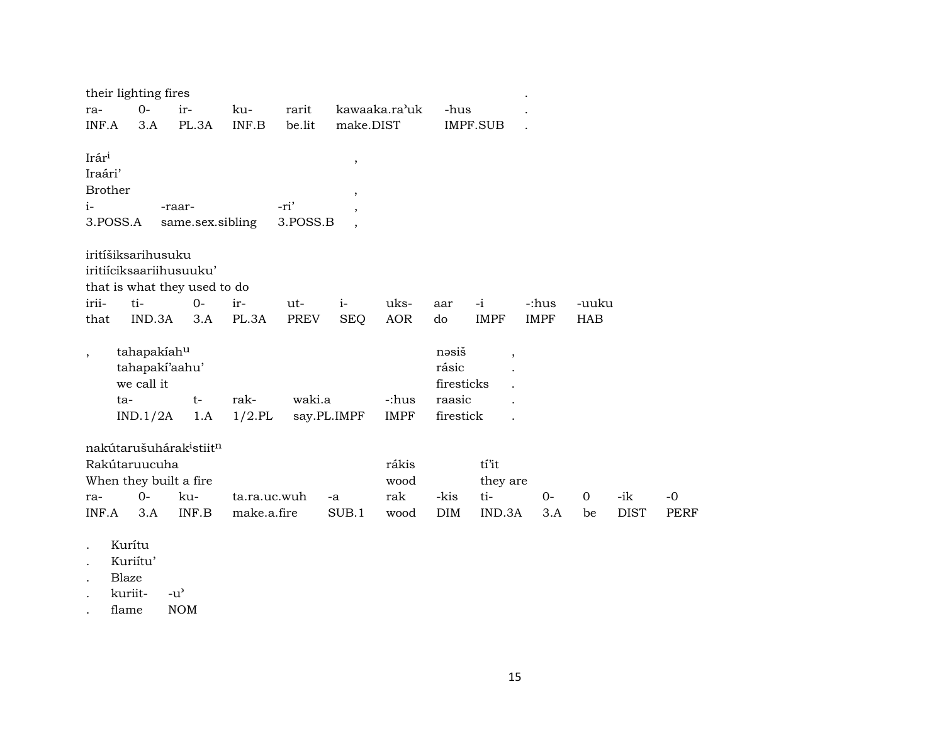|                | their lighting fires                            |                |                  |                  |                          |                      |                     |                          |             |          |             |             |
|----------------|-------------------------------------------------|----------------|------------------|------------------|--------------------------|----------------------|---------------------|--------------------------|-------------|----------|-------------|-------------|
| ra-            | $0-$                                            | ir-            | ku-              | rarit            |                          | kawaaka.ra'uk        | -hus                |                          |             |          |             |             |
| INF.A          | 3.A                                             | PL.3A          | INF.B            | be.lit           | make.DIST                |                      |                     | <b>IMPF.SUB</b>          |             |          |             |             |
|                |                                                 |                |                  |                  |                          |                      |                     |                          |             |          |             |             |
| Irári          |                                                 |                |                  |                  | $^\circ$                 |                      |                     |                          |             |          |             |             |
| Iraári'        |                                                 |                |                  |                  |                          |                      |                     |                          |             |          |             |             |
| <b>Brother</b> |                                                 |                |                  |                  | $\,$                     |                      |                     |                          |             |          |             |             |
| $i-$           | 3.POSS.A                                        | -raar-         | same.sex.sibling | -ri'<br>3.POSS.B | $\cdot$                  |                      |                     |                          |             |          |             |             |
|                |                                                 |                |                  |                  | $\overline{\phantom{a}}$ |                      |                     |                          |             |          |             |             |
|                | iritíšiksarihusuku                              |                |                  |                  |                          |                      |                     |                          |             |          |             |             |
|                | iritiíciksaariihusuuku'                         |                |                  |                  |                          |                      |                     |                          |             |          |             |             |
|                | that is what they used to do                    |                |                  |                  |                          |                      |                     |                          |             |          |             |             |
| irii-          | ti-                                             | $0 -$          | ir-              | ut-              | $i-$                     | uks-                 | aar                 | $-i$                     | -:hus       | -uuku    |             |             |
| that           | IND.3A                                          | 3.A            | PL.3A            | <b>PREV</b>      | <b>SEQ</b>               | AOR                  | do                  | <b>IMPF</b>              | <b>IMPF</b> | HAB      |             |             |
|                |                                                 |                |                  |                  |                          |                      |                     |                          |             |          |             |             |
|                | tahapakiahu                                     |                |                  |                  |                          |                      | nəsiš               | $\overline{\phantom{a}}$ |             |          |             |             |
|                |                                                 | tahapaki'aahu' |                  |                  |                          |                      | rásic               |                          |             |          |             |             |
|                | we call it                                      |                |                  | waki.a           |                          |                      | firesticks          |                          |             |          |             |             |
|                | ta-                                             | $t-$           | rak-             |                  |                          | -:hus<br><b>IMPF</b> | raasic<br>firestick |                          |             |          |             |             |
|                | IND.1/2A                                        | 1.A            | $1/2$ .PL        |                  | say.PL.IMPF              |                      |                     |                          |             |          |             |             |
|                | nakútarušuhárak <sup>i</sup> stiit <sup>n</sup> |                |                  |                  |                          |                      |                     |                          |             |          |             |             |
|                | Rakútaruucuha                                   |                |                  |                  |                          | rákis                |                     | tí'it                    |             |          |             |             |
|                | When they built a fire                          |                |                  |                  |                          | wood                 |                     | they are                 |             |          |             |             |
| ra-            | $0-$                                            | ku-            |                  | ta.ra.uc.wuh     | -a                       | rak                  | -kis                | ti-                      | $O -$       | $\Omega$ | -ik         | $-0$        |
| INF.A          | 3.A                                             | INF.B          | make.a.fire      |                  | SUB.1                    | wood                 | <b>DIM</b>          | IND.3A                   | 3.A         | be       | <b>DIST</b> | <b>PERF</b> |
|                |                                                 |                |                  |                  |                          |                      |                     |                          |             |          |             |             |

- . Kurítu
- . Kuriítu'
- . Blaze
- 
- . kuriit- -u'<br>. flame NOM . flame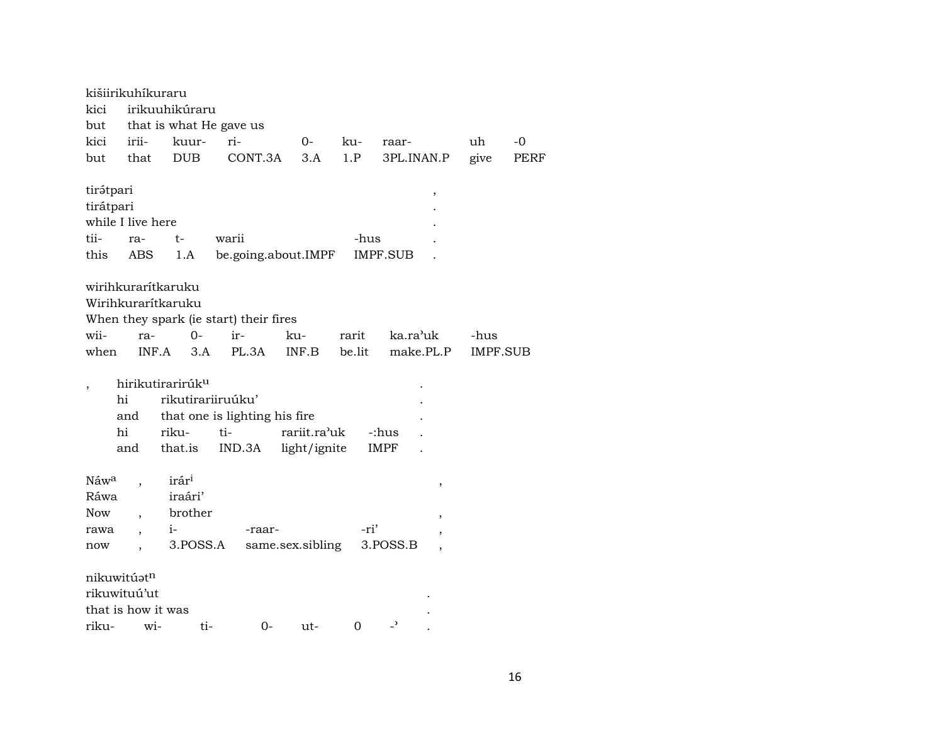|                  | kišiirikuhíkuraru  |                              |                                        |                  |             |                          |                 |             |
|------------------|--------------------|------------------------------|----------------------------------------|------------------|-------------|--------------------------|-----------------|-------------|
| kici             |                    | irikuuhikúraru               |                                        |                  |             |                          |                 |             |
|                  |                    | but that is what He gave us  |                                        |                  |             |                          |                 |             |
| kici             | irii-              | kuur-                        | ri-                                    | 0-               | ku-         | raar-                    | uh              | -0          |
| but              | that               | <b>DUB</b>                   | CONT.3A                                | 3.A              | 1.P         | 3PL.INAN.P               | give            | <b>PERF</b> |
| tirátpari        |                    |                              |                                        |                  |             | ,                        |                 |             |
| tirátpari        |                    |                              |                                        |                  |             |                          |                 |             |
|                  | while I live here  |                              |                                        |                  |             |                          |                 |             |
| tii-             | ra-                | $t-$                         | warii                                  |                  | -hus        |                          |                 |             |
| this             | ABS                | 1.A                          | be.going.about.IMPF                    |                  |             | IMPF.SUB                 |                 |             |
|                  |                    |                              |                                        |                  |             |                          |                 |             |
|                  |                    | wirihkurarítkaruku           |                                        |                  |             |                          |                 |             |
|                  |                    | Wirihkurarítkaruku           |                                        |                  |             |                          |                 |             |
|                  |                    |                              | When they spark (ie start) their fires |                  |             |                          |                 |             |
| wii-             | ra-                | $O -$                        | ir-                                    | ku-              | rarit       | ka.ra'uk                 | -hus            |             |
| when             | INF.A              | 3.A                          | PL.3A                                  | INF.B            | be.lit      | make.PL.P                | <b>IMPF.SUB</b> |             |
|                  |                    |                              |                                        |                  |             |                          |                 |             |
|                  |                    | hirikutirarirúk <sup>u</sup> |                                        |                  |             |                          |                 |             |
|                  | hi                 | rikutirariiruúku'            |                                        |                  |             |                          |                 |             |
|                  | and                |                              | that one is lighting his fire          |                  |             |                          |                 |             |
|                  | hi                 | riku-                        | ti-                                    | rariit.ra'uk     |             | -:hus                    |                 |             |
|                  | and                | that.is                      | IND.3A                                 | light/ignite     |             | IMPF                     |                 |             |
| Náw <sup>a</sup> |                    | irár <sup>i</sup>            |                                        |                  |             |                          |                 |             |
| Ráwa             |                    | iraári'                      |                                        |                  |             | ,                        |                 |             |
| Now              |                    | brother                      |                                        |                  |             | $\overline{\phantom{a}}$ |                 |             |
| rawa             |                    | $i-$                         | -raar-                                 |                  | -ri'        |                          |                 |             |
| now              |                    | 3.POSS.A                     |                                        | same.sex.sibling |             | 3.POSS.B                 |                 |             |
|                  |                    |                              |                                        |                  |             |                          |                 |             |
|                  | nikuwitúatn        |                              |                                        |                  |             |                          |                 |             |
|                  | rikuwituú'ut       |                              |                                        |                  |             |                          |                 |             |
|                  | that is how it was |                              |                                        |                  |             |                          |                 |             |
| riku-            | wi-                | ti-                          | 0-                                     | ut-              | $\mathbf 0$ | $\overline{ }$           |                 |             |